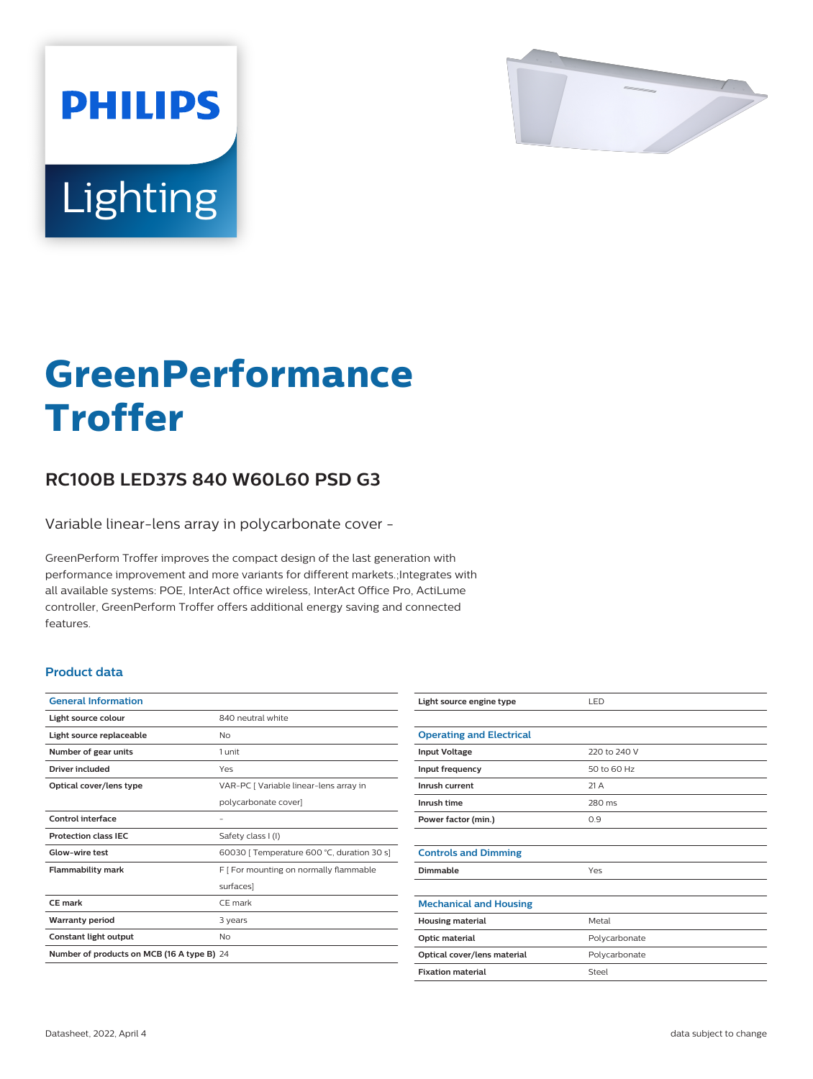

# Lighting

**PHILIPS** 

# **GreenPerformance Troffer**

## **RC100B LED37S 840 W60L60 PSD G3**

Variable linear-lens array in polycarbonate cover -

GreenPerform Troffer improves the compact design of the last generation with performance improvement and more variants for different markets.;Integrates with all available systems: POE, InterAct office wireless, InterAct Office Pro, ActiLume controller, GreenPerform Troffer offers additional energy saving and connected features.

#### **Product data**

| <b>General Information</b>                 |                                            |  |
|--------------------------------------------|--------------------------------------------|--|
| Light source colour                        | 840 neutral white                          |  |
| Light source replaceable                   | Nο                                         |  |
| Number of gear units                       | 1 unit                                     |  |
| Driver included                            | Yes                                        |  |
| Optical cover/lens type                    | VAR-PC [ Variable linear-lens array in     |  |
|                                            | polycarbonate cover]                       |  |
| Control interface                          |                                            |  |
| <b>Protection class IEC</b>                | Safety class I (I)                         |  |
| Glow-wire test                             | 60030 [ Temperature 600 °C, duration 30 s] |  |
| <b>Flammability mark</b>                   | F   For mounting on normally flammable     |  |
|                                            | surfaces]                                  |  |
| CE mark                                    | CE mark                                    |  |
| <b>Warranty period</b>                     | 3 years                                    |  |
| Constant light output                      | No                                         |  |
| Number of products on MCB (16 A type B) 24 |                                            |  |

| Light source engine type        | LED           |
|---------------------------------|---------------|
|                                 |               |
| <b>Operating and Electrical</b> |               |
| <b>Input Voltage</b>            | 220 to 240 V  |
| Input frequency                 | 50 to 60 Hz   |
| Inrush current                  | 21 A          |
| Inrush time                     | 280 ms        |
| Power factor (min.)             | 0.9           |
|                                 |               |
| <b>Controls and Dimming</b>     |               |
| Dimmable                        | Yes           |
|                                 |               |
| <b>Mechanical and Housing</b>   |               |
| <b>Housing material</b>         | Metal         |
| Optic material                  | Polycarbonate |
| Optical cover/lens material     | Polycarbonate |
| <b>Fixation material</b>        | Steel         |
|                                 |               |